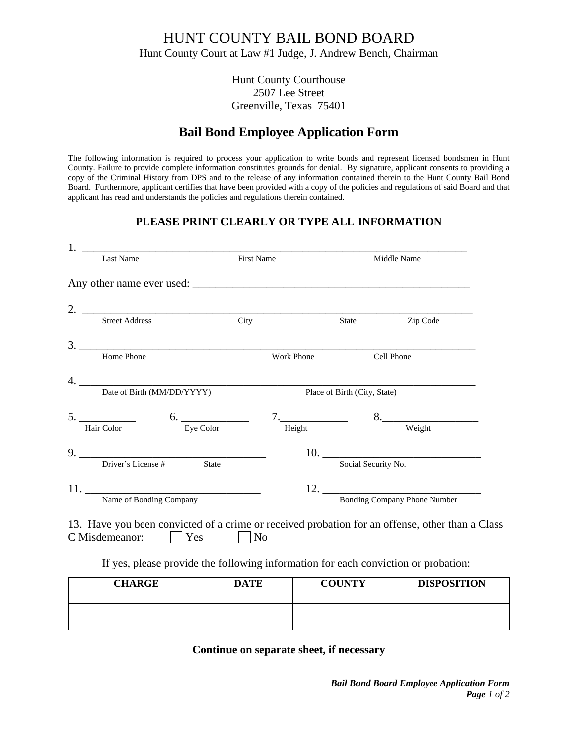## HUNT COUNTY BAIL BOND BOARD Hunt County Court at Law #1 Judge, J. Andrew Bench, Chairman

Hunt County Courthouse 2507 Lee Street Greenville, Texas 75401

# **Bail Bond Employee Application Form**

The following information is required to process your application to write bonds and represent licensed bondsmen in Hunt County. Failure to provide complete information constitutes grounds for denial. By signature, applicant consents to providing a copy of the Criminal History from DPS and to the release of any information contained therein to the Hunt County Bail Bond Board. Furthermore, applicant certifies that have been provided with a copy of the policies and regulations of said Board and that applicant has read and understands the policies and regulations therein contained.

### **PLEASE PRINT CLEARLY OR TYPE ALL INFORMATION**

| 1. <u>_________________________________</u><br>Last Name                                                                 | First Name     |             | Middle Name                  |                                     |
|--------------------------------------------------------------------------------------------------------------------------|----------------|-------------|------------------------------|-------------------------------------|
|                                                                                                                          |                |             |                              |                                     |
|                                                                                                                          |                |             |                              |                                     |
| 2. Street Address City                                                                                                   |                |             | State                        | Zip Code                            |
|                                                                                                                          |                |             |                              |                                     |
| Home Phone                                                                                                               |                | Work Phone  |                              | Cell Phone                          |
|                                                                                                                          |                |             |                              |                                     |
| Date of Birth (MM/DD/YYYY)                                                                                               |                |             | Place of Birth (City, State) |                                     |
| $5.$ Hair Color 6. Eye Color                                                                                             |                | $7.$ Height |                              | $8. \underline{\hspace{2cm}}$       |
|                                                                                                                          |                |             |                              | Weight                              |
|                                                                                                                          |                |             |                              |                                     |
| Driver's License #                                                                                                       | State          |             | Social Security No.          |                                     |
| 11.                                                                                                                      |                |             |                              |                                     |
| Name of Bonding Company                                                                                                  |                |             |                              | <b>Bonding Company Phone Number</b> |
| 13. Have you been convicted of a crime or received probation for an offense, other than a Class<br>Yes<br>C Misdemeanor: | N <sub>0</sub> |             |                              |                                     |
| If yes, please provide the following information for each conviction or probation:                                       |                |             |                              |                                     |

| <b>CHARGE</b> | <b>DATE</b> | <b>COUNTY</b> | <b>DISPOSITION</b> |
|---------------|-------------|---------------|--------------------|
|               |             |               |                    |
|               |             |               |                    |
|               |             |               |                    |

### **Continue on separate sheet, if necessary**